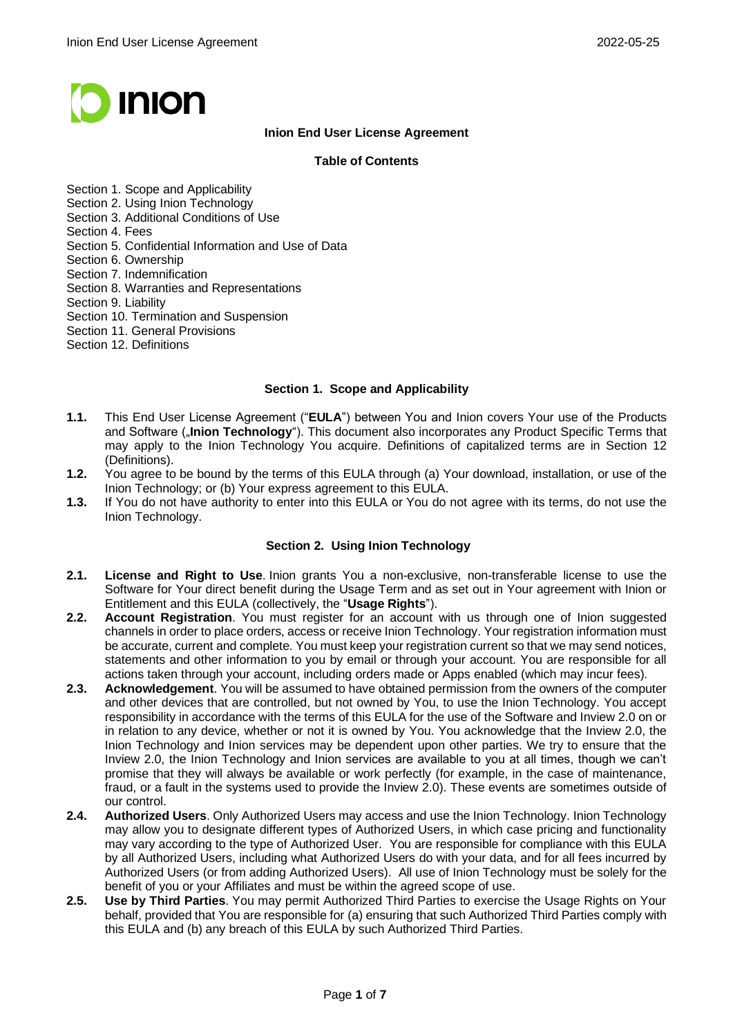

# **Inion End User License Agreement**

### **Table of Contents**

- Section 1. Scope and Applicability
- Section 2. Using Inion Technology
- Section 3. Additional Conditions of Use
- Section 4. Fees
- Section 5. Confidential Information and Use of Data
- Section 6. Ownership
- Section 7. Indemnification
- Section 8. Warranties and Representations
- Section 9. Liability
- Section 10. Termination and Suspension
- Section 11. General Provisions
- Section 12. Definitions

#### **Section 1. Scope and Applicability**

- **1.1.** This End User License Agreement ("**EULA**") between You and Inion covers Your use of the Products and Software ("**Inion Technology**"). This document also incorporates any Product Specific Terms that may apply to the Inion Technology You acquire. Definitions of capitalized terms are in Section 12 (Definitions).
- **1.2.** You agree to be bound by the terms of this EULA through (a) Your download, installation, or use of the Inion Technology; or (b) Your express agreement to this EULA.
- **1.3.** If You do not have authority to enter into this EULA or You do not agree with its terms, do not use the Inion Technology.

## **Section 2. Using Inion Technology**

- **2.1. License and Right to Use**. Inion grants You a non-exclusive, non-transferable license to use the Software for Your direct benefit during the Usage Term and as set out in Your agreement with Inion or Entitlement and this EULA (collectively, the "**Usage Rights**").
- **2.2. Account Registration**. You must register for an account with us through one of Inion suggested channels in order to place orders, access or receive Inion Technology. Your registration information must be accurate, current and complete. You must keep your registration current so that we may send notices, statements and other information to you by email or through your account. You are responsible for all actions taken through your account, including orders made or Apps enabled (which may incur fees).
- **2.3. Acknowledgement**. You will be assumed to have obtained permission from the owners of the computer and other devices that are controlled, but not owned by You, to use the Inion Technology. You accept responsibility in accordance with the terms of this EULA for the use of the Software and Inview 2.0 on or in relation to any device, whether or not it is owned by You. You acknowledge that the Inview 2.0, the Inion Technology and Inion services may be dependent upon other parties. We try to ensure that the Inview 2.0, the Inion Technology and Inion services are available to you at all times, though we can't promise that they will always be available or work perfectly (for example, in the case of maintenance, fraud, or a fault in the systems used to provide the Inview 2.0). These events are sometimes outside of our control.
- **2.4. Authorized Users**. Only Authorized Users may access and use the Inion Technology. Inion Technology may allow you to designate different types of Authorized Users, in which case pricing and functionality may vary according to the type of Authorized User. You are responsible for compliance with this EULA by all Authorized Users, including what Authorized Users do with your data, and for all fees incurred by Authorized Users (or from adding Authorized Users). All use of Inion Technology must be solely for the benefit of you or your Affiliates and must be within the agreed scope of use.
- **2.5. Use by Third Parties**. You may permit Authorized Third Parties to exercise the Usage Rights on Your behalf, provided that You are responsible for (a) ensuring that such Authorized Third Parties comply with this EULA and (b) any breach of this EULA by such Authorized Third Parties.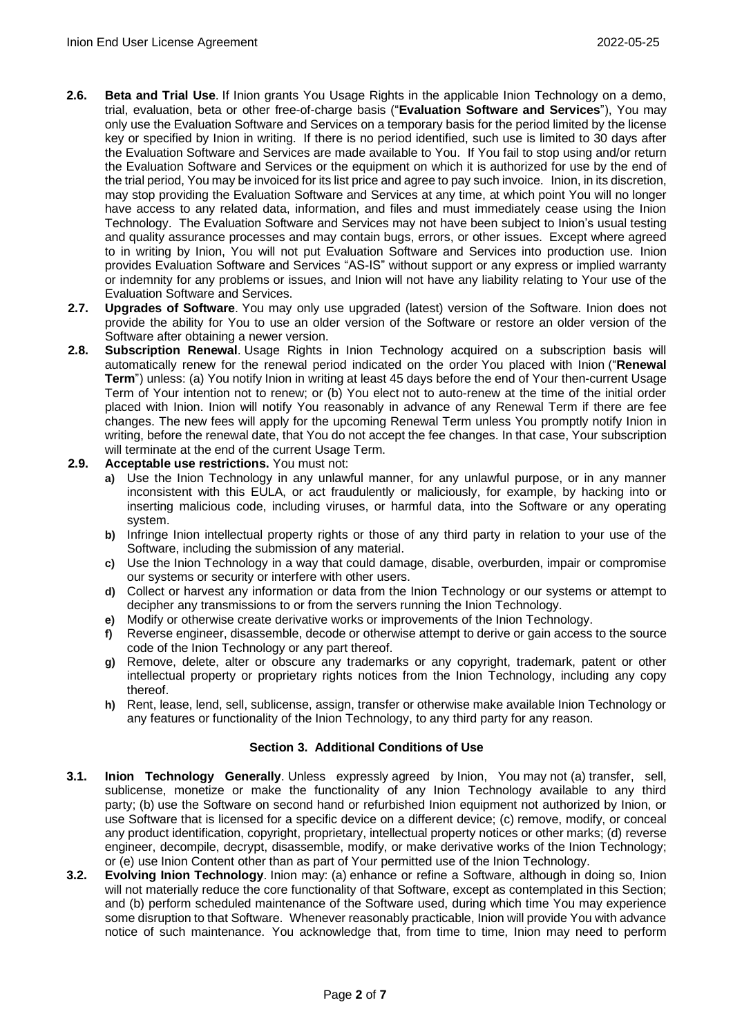- **2.6. Beta and Trial Use**. If Inion grants You Usage Rights in the applicable Inion Technology on a demo, trial, evaluation, beta or other free-of-charge basis ("**Evaluation Software and Services**"), You may only use the Evaluation Software and Services on a temporary basis for the period limited by the license key or specified by Inion in writing. If there is no period identified, such use is limited to 30 days after the Evaluation Software and Services are made available to You. If You fail to stop using and/or return the Evaluation Software and Services or the equipment on which it is authorized for use by the end of the trial period, You may be invoiced for its list price and agree to pay such invoice. Inion, in its discretion, may stop providing the Evaluation Software and Services at any time, at which point You will no longer have access to any related data, information, and files and must immediately cease using the Inion Technology. The Evaluation Software and Services may not have been subject to Inion's usual testing and quality assurance processes and may contain bugs, errors, or other issues. Except where agreed to in writing by Inion, You will not put Evaluation Software and Services into production use. Inion provides Evaluation Software and Services "AS-IS" without support or any express or implied warranty or indemnity for any problems or issues, and Inion will not have any liability relating to Your use of the Evaluation Software and Services.
- **2.7. Upgrades of Software**. You may only use upgraded (latest) version of the Software. Inion does not provide the ability for You to use an older version of the Software or restore an older version of the Software after obtaining a newer version.
- **2.8. Subscription Renewal**. Usage Rights in Inion Technology acquired on a subscription basis will automatically renew for the renewal period indicated on the order You placed with Inion ("**Renewal Term**") unless: (a) You notify Inion in writing at least 45 days before the end of Your then-current Usage Term of Your intention not to renew; or (b) You elect not to auto-renew at the time of the initial order placed with Inion. Inion will notify You reasonably in advance of any Renewal Term if there are fee changes. The new fees will apply for the upcoming Renewal Term unless You promptly notify Inion in writing, before the renewal date, that You do not accept the fee changes. In that case, Your subscription will terminate at the end of the current Usage Term.

#### **2.9. Acceptable use restrictions.** You must not:

- **a)** Use the Inion Technology in any unlawful manner, for any unlawful purpose, or in any manner inconsistent with this EULA, or act fraudulently or maliciously, for example, by hacking into or inserting malicious code, including viruses, or harmful data, into the Software or any operating system.
- **b)** Infringe Inion intellectual property rights or those of any third party in relation to your use of the Software, including the submission of any material.
- **c)** Use the Inion Technology in a way that could damage, disable, overburden, impair or compromise our systems or security or interfere with other users.
- **d)** Collect or harvest any information or data from the Inion Technology or our systems or attempt to decipher any transmissions to or from the servers running the Inion Technology.
- **e)** Modify or otherwise create derivative works or improvements of the Inion Technology.
- **f)** Reverse engineer, disassemble, decode or otherwise attempt to derive or gain access to the source code of the Inion Technology or any part thereof.
- **g)** Remove, delete, alter or obscure any trademarks or any copyright, trademark, patent or other intellectual property or proprietary rights notices from the Inion Technology, including any copy thereof.
- **h)** Rent, lease, lend, sell, sublicense, assign, transfer or otherwise make available Inion Technology or any features or functionality of the Inion Technology, to any third party for any reason.

#### **Section 3. Additional Conditions of Use**

- **3.1. Inion Technology Generally**. Unless expressly agreed by Inion, You may not (a) transfer, sell, sublicense, monetize or make the functionality of any Inion Technology available to any third party; (b) use the Software on second hand or refurbished Inion equipment not authorized by Inion, or use Software that is licensed for a specific device on a different device; (c) remove, modify, or conceal any product identification, copyright, proprietary, intellectual property notices or other marks; (d) reverse engineer, decompile, decrypt, disassemble, modify, or make derivative works of the Inion Technology; or (e) use Inion Content other than as part of Your permitted use of the Inion Technology.
- **3.2. Evolving Inion Technology**. Inion may: (a) enhance or refine a Software, although in doing so, Inion will not materially reduce the core functionality of that Software, except as contemplated in this Section; and (b) perform scheduled maintenance of the Software used, during which time You may experience some disruption to that Software. Whenever reasonably practicable, Inion will provide You with advance notice of such maintenance. You acknowledge that, from time to time, Inion may need to perform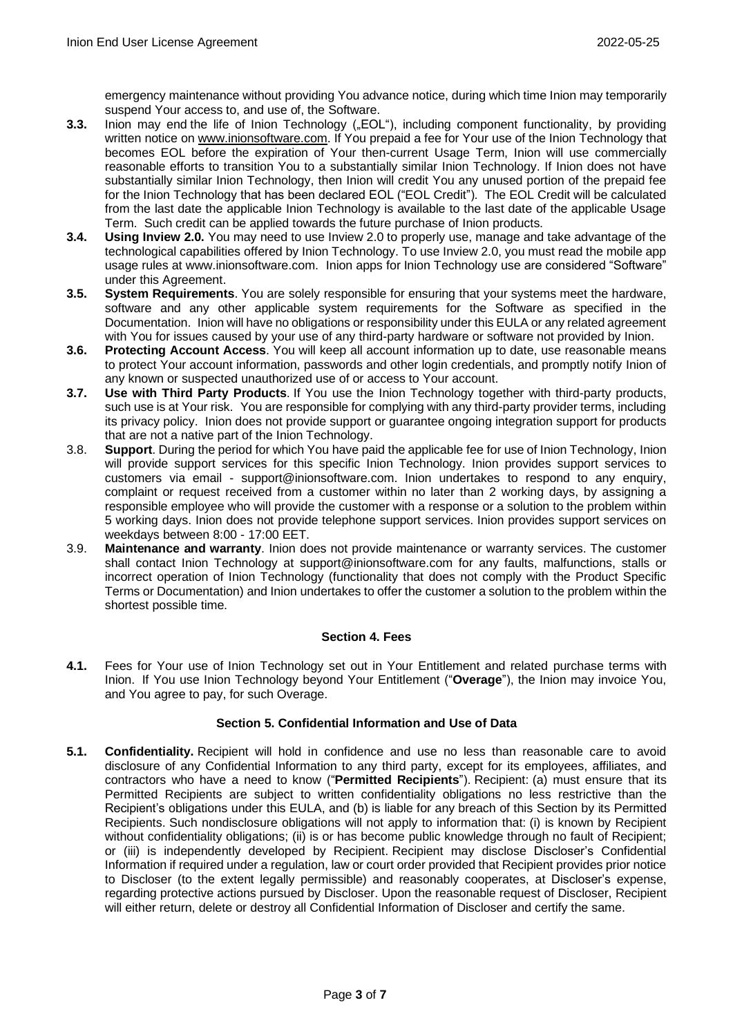emergency maintenance without providing You advance notice, during which time Inion may temporarily suspend Your access to, and use of, the Software.

- **3.3.** Inion may end the life of Inion Technology ("EOL"), including component functionality, by providing written notice on [www.inionsoftware.com.](http://www.inionsoftware.com/) If You prepaid a fee for Your use of the Inion Technology that becomes EOL before the expiration of Your then-current Usage Term, Inion will use commercially reasonable efforts to transition You to a substantially similar Inion Technology. If Inion does not have substantially similar Inion Technology, then Inion will credit You any unused portion of the prepaid fee for the Inion Technology that has been declared EOL ("EOL Credit"). The EOL Credit will be calculated from the last date the applicable Inion Technology is available to the last date of the applicable Usage Term. Such credit can be applied towards the future purchase of Inion products.
- **3.4. Using Inview 2.0.** You may need to use Inview 2.0 to properly use, manage and take advantage of the technological capabilities offered by Inion Technology. To use Inview 2.0, you must read the mobile app usage rules at www.inionsoftware.com. Inion apps for Inion Technology use are considered "Software" under this Agreement.
- **3.5. System Requirements**. You are solely responsible for ensuring that your systems meet the hardware, software and any other applicable system requirements for the Software as specified in the Documentation. Inion will have no obligations or responsibility under this EULA or any related agreement with You for issues caused by your use of any third-party hardware or software not provided by Inion.
- **3.6. Protecting Account Access**. You will keep all account information up to date, use reasonable means to protect Your account information, passwords and other login credentials, and promptly notify Inion of any known or suspected unauthorized use of or access to Your account.
- **3.7. Use with Third Party Products**. If You use the Inion Technology together with third-party products, such use is at Your risk. You are responsible for complying with any third-party provider terms, including its privacy policy. Inion does not provide support or guarantee ongoing integration support for products that are not a native part of the Inion Technology.
- 3.8. **Support**. During the period for which You have paid the applicable fee for use of Inion Technology, Inion will provide support services for this specific Inion Technology. Inion provides support services to customers via email - support@inionsoftware.com. Inion undertakes to respond to any enquiry, complaint or request received from a customer within no later than 2 working days, by assigning a responsible employee who will provide the customer with a response or a solution to the problem within 5 working days. Inion does not provide telephone support services. Inion provides support services on weekdays between 8:00 - 17:00 EET.
- 3.9. **Maintenance and warranty**. Inion does not provide maintenance or warranty services. The customer shall contact Inion Technology at support@inionsoftware.com for any faults, malfunctions, stalls or incorrect operation of Inion Technology (functionality that does not comply with the Product Specific Terms or Documentation) and Inion undertakes to offer the customer a solution to the problem within the shortest possible time.

## **Section 4. Fees**

**4.1.** Fees for Your use of Inion Technology set out in Your Entitlement and related purchase terms with Inion. If You use Inion Technology beyond Your Entitlement ("**Overage**"), the Inion may invoice You, and You agree to pay, for such Overage.

# **Section 5. Confidential Information and Use of Data**

**5.1. Confidentiality.** Recipient will hold in confidence and use no less than reasonable care to avoid disclosure of any Confidential Information to any third party, except for its employees, affiliates, and contractors who have a need to know ("**Permitted Recipients**"). Recipient: (a) must ensure that its Permitted Recipients are subject to written confidentiality obligations no less restrictive than the Recipient's obligations under this EULA, and (b) is liable for any breach of this Section by its Permitted Recipients. Such nondisclosure obligations will not apply to information that: (i) is known by Recipient without confidentiality obligations; (ii) is or has become public knowledge through no fault of Recipient; or (iii) is independently developed by Recipient. Recipient may disclose Discloser's Confidential Information if required under a regulation, law or court order provided that Recipient provides prior notice to Discloser (to the extent legally permissible) and reasonably cooperates, at Discloser's expense, regarding protective actions pursued by Discloser. Upon the reasonable request of Discloser, Recipient will either return, delete or destroy all Confidential Information of Discloser and certify the same.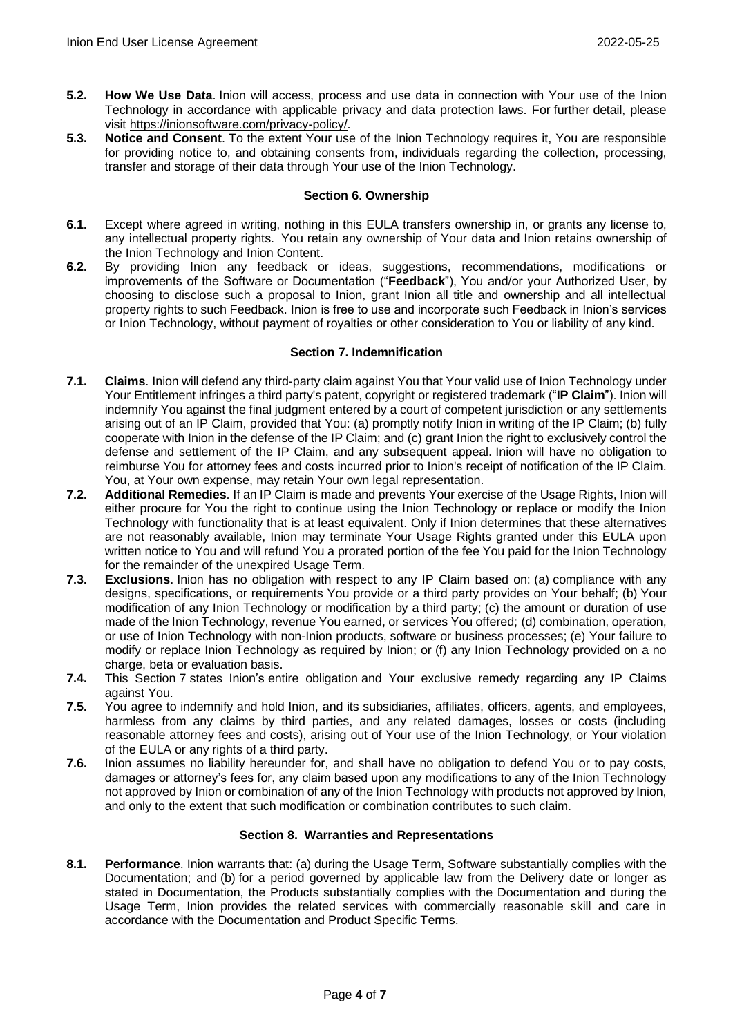- **5.2. How We Use Data**. Inion will access, process and use data in connection with Your use of the Inion Technology in accordance with applicable privacy and data protection laws. For further detail, please visit [https://inionsoftware.com/privacy-policy/.](https://inionsoftware.com/privacy-policy/)
- **5.3. Notice and Consent**. To the extent Your use of the Inion Technology requires it, You are responsible for providing notice to, and obtaining consents from, individuals regarding the collection, processing, transfer and storage of their data through Your use of the Inion Technology.

### **Section 6. Ownership**

- **6.1.** Except where agreed in writing, nothing in this EULA transfers ownership in, or grants any license to, any intellectual property rights. You retain any ownership of Your data and Inion retains ownership of the Inion Technology and Inion Content.
- **6.2.** By providing Inion any feedback or ideas, suggestions, recommendations, modifications or improvements of the Software or Documentation ("**Feedback**"), You and/or your Authorized User, by choosing to disclose such a proposal to Inion, grant Inion all title and ownership and all intellectual property rights to such Feedback. Inion is free to use and incorporate such Feedback in Inion's services or Inion Technology, without payment of royalties or other consideration to You or liability of any kind.

## **Section 7. Indemnification**

- **7.1. Claims**. Inion will defend any third-party claim against You that Your valid use of Inion Technology under Your Entitlement infringes a third party's patent, copyright or registered trademark ("**IP Claim**"). Inion will indemnify You against the final judgment entered by a court of competent jurisdiction or any settlements arising out of an IP Claim, provided that You: (a) promptly notify Inion in writing of the IP Claim; (b) fully cooperate with Inion in the defense of the IP Claim; and (c) grant Inion the right to exclusively control the defense and settlement of the IP Claim, and any subsequent appeal. Inion will have no obligation to reimburse You for attorney fees and costs incurred prior to Inion's receipt of notification of the IP Claim. You, at Your own expense, may retain Your own legal representation.
- **7.2. Additional Remedies**. If an IP Claim is made and prevents Your exercise of the Usage Rights, Inion will either procure for You the right to continue using the Inion Technology or replace or modify the Inion Technology with functionality that is at least equivalent. Only if Inion determines that these alternatives are not reasonably available, Inion may terminate Your Usage Rights granted under this EULA upon written notice to You and will refund You a prorated portion of the fee You paid for the Inion Technology for the remainder of the unexpired Usage Term.
- **7.3. Exclusions**. Inion has no obligation with respect to any IP Claim based on: (a) compliance with any designs, specifications, or requirements You provide or a third party provides on Your behalf; (b) Your modification of any Inion Technology or modification by a third party; (c) the amount or duration of use made of the Inion Technology, revenue You earned, or services You offered; (d) combination, operation, or use of Inion Technology with non-Inion products, software or business processes; (e) Your failure to modify or replace Inion Technology as required by Inion; or (f) any Inion Technology provided on a no charge, beta or evaluation basis.
- **7.4.** This Section 7 states Inion's entire obligation and Your exclusive remedy regarding any IP Claims against You.
- **7.5.** You agree to indemnify and hold Inion, and its subsidiaries, affiliates, officers, agents, and employees, harmless from any claims by third parties, and any related damages, losses or costs (including reasonable attorney fees and costs), arising out of Your use of the Inion Technology, or Your violation of the EULA or any rights of a third party.
- **7.6.** Inion assumes no liability hereunder for, and shall have no obligation to defend You or to pay costs, damages or attorney's fees for, any claim based upon any modifications to any of the Inion Technology not approved by Inion or combination of any of the Inion Technology with products not approved by Inion, and only to the extent that such modification or combination contributes to such claim.

## **Section 8. Warranties and Representations**

**8.1. Performance**. Inion warrants that: (a) during the Usage Term, Software substantially complies with the Documentation; and (b) for a period governed by applicable law from the Delivery date or longer as stated in Documentation, the Products substantially complies with the Documentation and during the Usage Term, Inion provides the related services with commercially reasonable skill and care in accordance with the Documentation and Product Specific Terms.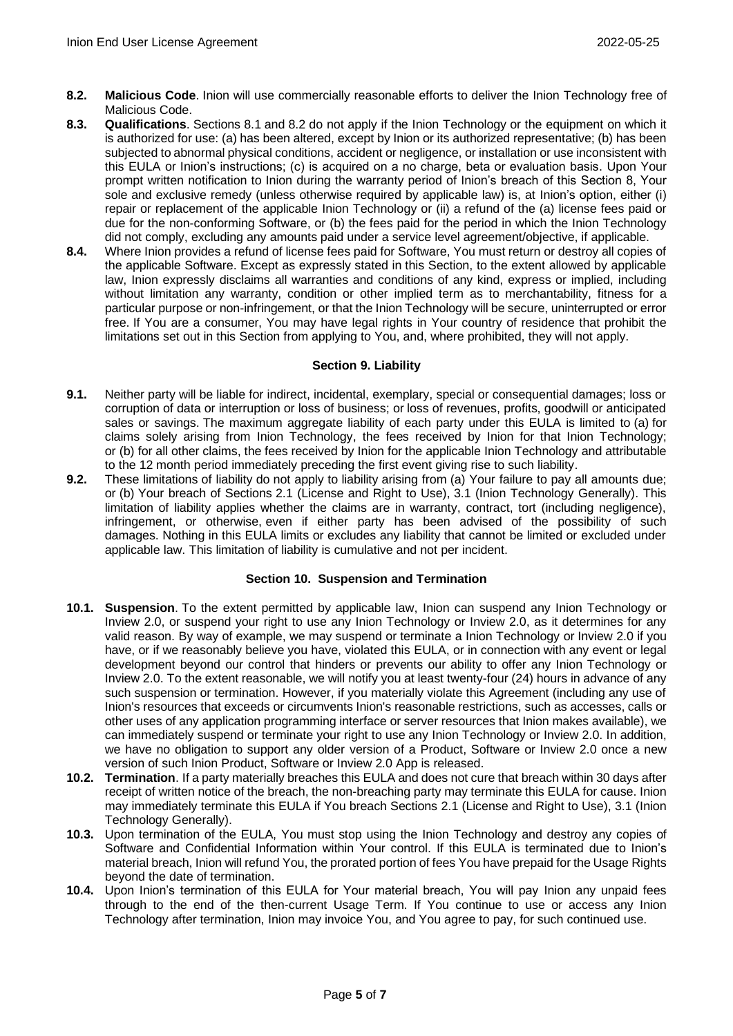- **8.2. Malicious Code**. Inion will use commercially reasonable efforts to deliver the Inion Technology free of Malicious Code.
- **8.3. Qualifications**. Sections 8.1 and 8.2 do not apply if the Inion Technology or the equipment on which it is authorized for use: (a) has been altered, except by Inion or its authorized representative; (b) has been subjected to abnormal physical conditions, accident or negligence, or installation or use inconsistent with this EULA or Inion's instructions; (c) is acquired on a no charge, beta or evaluation basis. Upon Your prompt written notification to Inion during the warranty period of Inion's breach of this Section 8, Your sole and exclusive remedy (unless otherwise required by applicable law) is, at Inion's option, either (i) repair or replacement of the applicable Inion Technology or (ii) a refund of the (a) license fees paid or due for the non-conforming Software, or (b) the fees paid for the period in which the Inion Technology did not comply, excluding any amounts paid under a service level agreement/objective, if applicable.
- **8.4.** Where Inion provides a refund of license fees paid for Software, You must return or destroy all copies of the applicable Software. Except as expressly stated in this Section, to the extent allowed by applicable law, Inion expressly disclaims all warranties and conditions of any kind, express or implied, including without limitation any warranty, condition or other implied term as to merchantability, fitness for a particular purpose or non-infringement, or that the Inion Technology will be secure, uninterrupted or error free. If You are a consumer, You may have legal rights in Your country of residence that prohibit the limitations set out in this Section from applying to You, and, where prohibited, they will not apply.

## **Section 9. Liability**

- **9.1.** Neither party will be liable for indirect, incidental, exemplary, special or consequential damages; loss or corruption of data or interruption or loss of business; or loss of revenues, profits, goodwill or anticipated sales or savings. The maximum aggregate liability of each party under this EULA is limited to (a) for claims solely arising from Inion Technology, the fees received by Inion for that Inion Technology; or (b) for all other claims, the fees received by Inion for the applicable Inion Technology and attributable to the 12 month period immediately preceding the first event giving rise to such liability.
- **9.2.** These limitations of liability do not apply to liability arising from (a) Your failure to pay all amounts due; or (b) Your breach of Sections 2.1 (License and Right to Use), 3.1 (Inion Technology Generally). This limitation of liability applies whether the claims are in warranty, contract, tort (including negligence), infringement, or otherwise, even if either party has been advised of the possibility of such damages. Nothing in this EULA limits or excludes any liability that cannot be limited or excluded under applicable law. This limitation of liability is cumulative and not per incident.

## **Section 10. Suspension and Termination**

- **10.1. Suspension**. To the extent permitted by applicable law, Inion can suspend any Inion Technology or Inview 2.0, or suspend your right to use any Inion Technology or Inview 2.0, as it determines for any valid reason. By way of example, we may suspend or terminate a Inion Technology or Inview 2.0 if you have, or if we reasonably believe you have, violated this EULA, or in connection with any event or legal development beyond our control that hinders or prevents our ability to offer any Inion Technology or Inview 2.0. To the extent reasonable, we will notify you at least twenty-four (24) hours in advance of any such suspension or termination. However, if you materially violate this Agreement (including any use of Inion's resources that exceeds or circumvents Inion's reasonable restrictions, such as accesses, calls or other uses of any application programming interface or server resources that Inion makes available), we can immediately suspend or terminate your right to use any Inion Technology or Inview 2.0. In addition, we have no obligation to support any older version of a Product, Software or Inview 2.0 once a new version of such Inion Product, Software or Inview 2.0 App is released.
- **10.2. Termination**. If a party materially breaches this EULA and does not cure that breach within 30 days after receipt of written notice of the breach, the non-breaching party may terminate this EULA for cause. Inion may immediately terminate this EULA if You breach Sections 2.1 (License and Right to Use), 3.1 (Inion Technology Generally).
- **10.3.** Upon termination of the EULA, You must stop using the Inion Technology and destroy any copies of Software and Confidential Information within Your control. If this EULA is terminated due to Inion's material breach, Inion will refund You, the prorated portion of fees You have prepaid for the Usage Rights beyond the date of termination.
- **10.4.** Upon Inion's termination of this EULA for Your material breach, You will pay Inion any unpaid fees through to the end of the then-current Usage Term. If You continue to use or access any Inion Technology after termination, Inion may invoice You, and You agree to pay, for such continued use.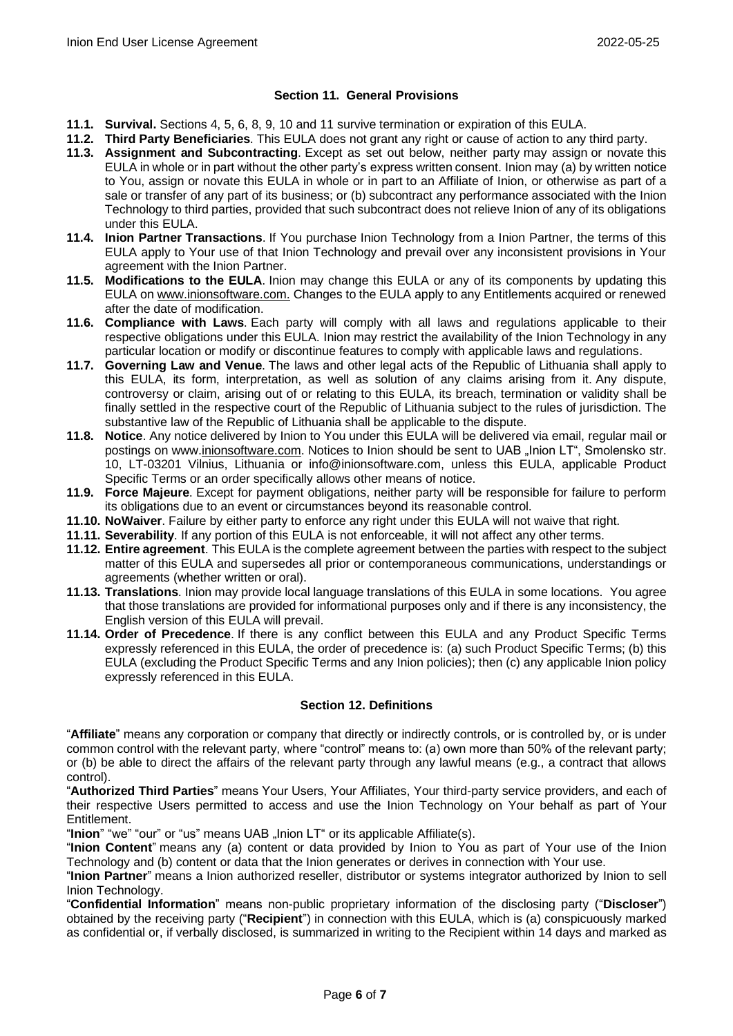### **Section 11. General Provisions**

- **11.1. Survival.** Sections 4, 5, 6, 8, 9, 10 and 11 survive termination or expiration of this EULA.
- **11.2. Third Party Beneficiaries**. This EULA does not grant any right or cause of action to any third party.
- **11.3. Assignment and Subcontracting**. Except as set out below, neither party may assign or novate this EULA in whole or in part without the other party's express written consent. Inion may (a) by written notice to You, assign or novate this EULA in whole or in part to an Affiliate of Inion, or otherwise as part of a sale or transfer of any part of its business; or (b) subcontract any performance associated with the Inion Technology to third parties, provided that such subcontract does not relieve Inion of any of its obligations under this EULA.
- **11.4. Inion Partner Transactions**. If You purchase Inion Technology from a Inion Partner, the terms of this EULA apply to Your use of that Inion Technology and prevail over any inconsistent provisions in Your agreement with the Inion Partner.
- **11.5. Modifications to the EULA**. Inion may change this EULA or any of its components by updating this EULA o[n www.inionsoftware.com.](http://www.inionsoftware.com/) Changes to the EULA apply to any Entitlements acquired or renewed after the date of modification.
- **11.6. Compliance with Laws**. Each party will comply with all laws and regulations applicable to their respective obligations under this EULA. Inion may restrict the availability of the Inion Technology in any particular location or modify or discontinue features to comply with applicable laws and regulations.
- **11.7. Governing Law and Venue**. The laws and other legal acts of the Republic of Lithuania shall apply to this EULA, its form, interpretation, as well as solution of any claims arising from it. Any dispute, controversy or claim, arising out of or relating to this EULA, its breach, termination or validity shall be finally settled in the respective court of the Republic of Lithuania subject to the rules of jurisdiction. The substantive law of the Republic of Lithuania shall be applicable to the dispute.
- **11.8. Notice**. Any notice delivered by Inion to You under this EULA will be delivered via email, regular mail or postings on www[.inionsoftware.com.](http://www.cisco.com/) Notices to Inion should be sent to UAB "Inion LT", Smolensko str. 10, LT-03201 Vilnius, Lithuania or info@inionsoftware.com, unless this EULA, applicable Product Specific Terms or an order specifically allows other means of notice.
- **11.9. Force Majeure**. Except for payment obligations, neither party will be responsible for failure to perform its obligations due to an event or circumstances beyond its reasonable control.
- **11.10. NoWaiver**. Failure by either party to enforce any right under this EULA will not waive that right.
- **11.11. Severability**. If any portion of this EULA is not enforceable, it will not affect any other terms.
- **11.12. Entire agreement**. This EULA is the complete agreement between the parties with respect to the subject matter of this EULA and supersedes all prior or contemporaneous communications, understandings or agreements (whether written or oral).
- **11.13. Translations**. Inion may provide local language translations of this EULA in some locations. You agree that those translations are provided for informational purposes only and if there is any inconsistency, the English version of this EULA will prevail.
- **11.14. Order of Precedence**. If there is any conflict between this EULA and any Product Specific Terms expressly referenced in this EULA, the order of precedence is: (a) such Product Specific Terms; (b) this EULA (excluding the Product Specific Terms and any Inion policies); then (c) any applicable Inion policy expressly referenced in this EULA.

## **Section 12. Definitions**

"**Affiliate**" means any corporation or company that directly or indirectly controls, or is controlled by, or is under common control with the relevant party, where "control" means to: (a) own more than 50% of the relevant party; or (b) be able to direct the affairs of the relevant party through any lawful means (e.g., a contract that allows control).

"**Authorized Third Parties**" means Your Users, Your Affiliates, Your third-party service providers, and each of their respective Users permitted to access and use the Inion Technology on Your behalf as part of Your Entitlement.

"Inion" "we" "our" or "us" means UAB "Inion LT" or its applicable Affiliate(s).

"**Inion Content**" means any (a) content or data provided by Inion to You as part of Your use of the Inion Technology and (b) content or data that the Inion generates or derives in connection with Your use.

"**Inion Partner**" means a Inion authorized reseller, distributor or systems integrator authorized by Inion to sell Inion Technology.

"**Confidential Information**" means non-public proprietary information of the disclosing party ("**Discloser**") obtained by the receiving party ("**Recipient**") in connection with this EULA, which is (a) conspicuously marked as confidential or, if verbally disclosed, is summarized in writing to the Recipient within 14 days and marked as